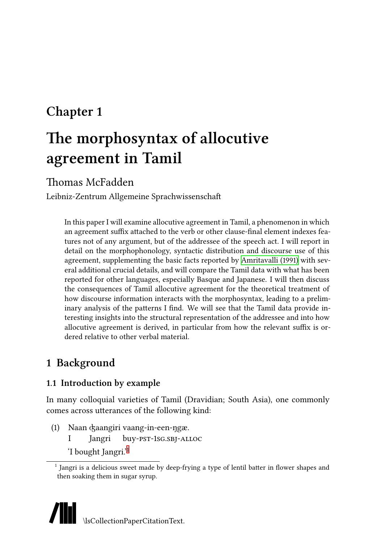# **Chapter 1**

# **The morphosyntax of allocutive agreement in Tamil**

# Thomas McFadden

Leibniz-Zentrum Allgemeine Sprachwissenschaft

In this paper I will examine allocutive agreement in Tamil, a phenomenon in which an agreement suffix attached to the verb or other clause-final element indexes features not of any argument, but of the addressee of the speech act. I will report in detail on the morphophonology, syntactic distribution and discourse use of this agreement, supplementing the basic facts reported by Amritavalli (1991) with several additional crucial details, and will compare the Tamil data with what has been reported for other languages, especially Basque and Japanese. I will then discuss the consequences of Tamil allocutive agreement for the theoretical treatment of how discourse information interacts with the morphosyntax, leading to a preliminary analysis of the patterns I find. We will see that the Tamil data provide interesting insights into the structural representation of the addressee and into how allocutive agreement is derived, in particular from how the relevant suffix is ordered relative to other verbal material.

# **1 Background**

## **1.1 Introduction by example**

In many colloquial varieties of Tamil (Dravidian; South Asia), one commonly comes across utterances of the following kind:

- (1) Naan Ãaangiri vaang-in-een-ŋgæ.
	- I Jangri buy-pst-1sg.sbj-alloc

'I bought Jangri.'<sup>1</sup>

\lsCollectionPaperCitationText.

<sup>&</sup>lt;sup>1</sup> Jangri is a delicious sweet made by deep-frying a type of lentil batter in flower shapes and then soaking them in sugar syrup.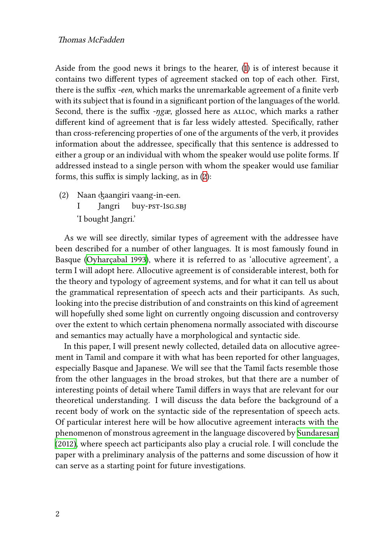<span id="page-1-0"></span>Aside from the good news it brings to the hearer, (1) is of interest because it contains two different types of agreement stacked on top of each other. First, there is the suffix *-een*, which marks the u[nr](#page-1-0)emarkable agreement of a finite verb with its subject that is found in a significant portion of the languages of the world. Second, there is the suffix *-ŋgæ*, glossed here as ALLOC, which marks a rather different kind of agreement that is far less widely attested. Specifically, rather than cross-referencing properties of one of the arguments of the verb, it provides information about the addressee, specifically that this sentence is addressed to either a group or an individual with whom the speaker would use polite forms. If addresse[d instead to a sin](#page-32-0)gle person with whom the speaker would use familiar forms, this suffix is simply lacking, as in (2):

(2) Naan Ãaangiri vaang-in-een. I Jangri buy-pst-1sg.sbj 'I bought Jangri.'

As we will see directly, similar types of agreement with the addressee have been described for a number of other languages. It is most famously found in Basque (Oyharçabal 1993), where it is referred to as 'allocutive agreement', a term I will adopt here. Allocutive agreement is of considerable interest, both for the theory and typology of agreement systems, and for what it can tell us about the grammatical representation of speech acts and their participants. As such, looking into the precise distribution of and constraints on this kind of agreement will hopefully shed some light on currently ongoing discussion and controversy over the extent to which certain phenomena normally associated with discourse and semantics may actually have a morphological and syntactic side.

In this paper, I will present newly collected, detailed data on allo[cutive agree](#page-33-0)[ment](#page-33-0) in Tamil and compare it with what has been reported for other languages, especially Basque and Japanese. We will see that the Tamil facts resemble those from the other languages in the broad strokes, but that there are a number of interesting points of detail where Tamil differs in ways that are relevant for our theoretical understanding. I will discuss the data before the background of a recent body of work on the syntactic side of the representation of speech acts. Of particular interest here will be how allocutive agreement interacts with the phenomenon of monstrous agreement in the language discovered by Sundaresan (2012), where speech act participants also play a crucial role. I will conclude the paper with a preliminary analysis of the patterns and some discussion of how it can serve as a starting point for future investigations.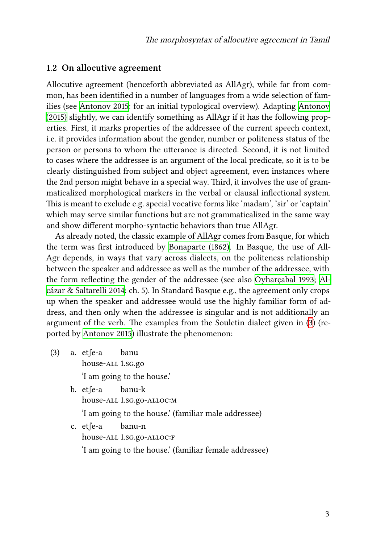#### **1.2 On allocutive agreement**

Allocutive agreement (henceforth abbreviated as AllAgr), while far from common, has been identified in a number of languages from a wide selection of families (see Antonov 2015: for an initial typological overview). Adapting Antonov (2015) slightly, we can identify something as AllAgr if it has the following properties. First, it marks properties of the addressee of the current speech context, i.e. it provides information about the gender, number or politeness status of the person or persons to whom the utterance is directed. Second, it is not limited to cases where the addressee is an [argument of the](#page-32-1) local predicate, so it is to be clearly distinguished from subject and object agreement, even instances where the 2nd person might behave in a special way. Third, it involves the use of grammaticalized morphological markers in the verbal or claus[al inflectional sys](#page-32-0)t[em.](#page-31-0) [This is meant to exclud](#page-31-0)e e.g. special vocative forms like 'madam', 'sir' or 'captain' which may serve similar functions but are not grammaticalized in the same way and show different morpho-syntactic behaviors than true AllAgr.

<span id="page-2-0"></span>As already noted, the classic example of AllAgr comes from Basque, for [w](#page-2-0)hich the term [was first intro](#page-31-1)duced by Bonaparte (1862). In Basque, the use of All-Agr depends, in ways that vary across dialects, on the politeness relationship between the speaker and addressee as well as the number of the addressee, with the form reflecting the gender of the addressee (see also Oyharçabal 1993; Alcázar & Saltarelli 2014: ch. 5). In Standard Basque e.g., the agreement only crops up when the speaker and addressee would use the highly familiar form of address, and then only when the addressee is singular and is not additionally an argument of the verb. The examples from the Souletin dialect given in (3) (reported by Antonov 2015) illustrate the phenomenon:

 $(3)$  a. etfe-a house-all 1.sg.go banu 'I am going to the house.' b. etfe-a banu-k

house-all 1.sg.go-alloc:m

'I am going to the house.' (familiar male addressee)

c. etfe-a house-all 1.sg.go-alloc:f banu-n

'I am going to the house.' (familiar female addressee)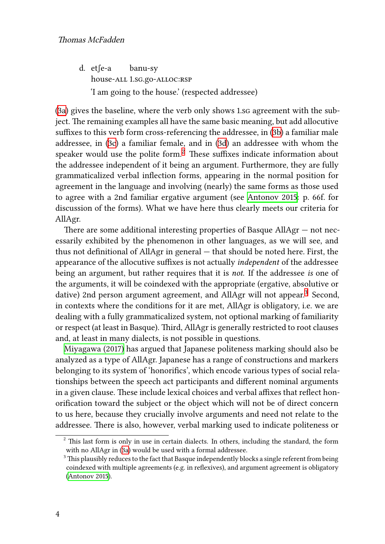d. etfe-a house-all 1.sg.go-alloc:rsp banu-sy 'I am going to the house.' (respected addressee)

(3a) gives the baseline, where the verb only shows 1.sg [agreement w](#page-31-1)ith the subject. The remaining examples all have the same basic meaning, but add allocutive suffixes to this verb form cross-referencing the addressee, in (3b) a familiar male addressee, in (3c) a familiar female, and in (3d) an addressee with whom the speaker would use the polite form.<sup>2</sup> These suffixes indicate information about the addressee independent of it being an argument. Furthermore, they are fully grammaticalized verbal inflection forms, appearing in the normal position for agreement in the language and involving (nearly) the same forms as those used to agree with a 2nd familiar ergative argument (see Antonov 2015: p. 66f. for discussion of the forms). What we have here thus clearly meets our criteria for AllAgr.

There are some additional interesting properties of Basque AllAgr — not necessarily exhibited by the phenomenon in other languages, as we will see, and thus not definitional of AllAgr in general — that should be noted here. First, the a[ppearance of the a](#page-32-2)llocutive suffixes is not actually *independent* of the addressee being an argument, but rather requires that it is *not*. If the addressee *is* one of the arguments, it will be coindexed with the appropriate (ergative, absolutive or dative) 2nd person argument agreement, and AllAgr will not appear.<sup>3</sup> Second, in contexts where the conditions for it are met, AllAgr is obligatory, i.e. we are dealing with a fully grammaticalized system, not optional marking of familiarity or respect (at least in Basque). Third, AllAgr is generally restricted to root clauses and, at least in many dialects, is not possible in questions.

Miyagawa (2017) has argued that Japanese politeness marking should also be analyzed as a type [of](#page-2-0) AllAgr. Japanese has a range of constructions and markers belonging to its system of 'honorifics', which encode various types of social relationships between the speech act participants and different nominal arguments in [a given claus](#page-31-1)e. These include lexical choices and verbal affixes that reflect honorification toward the subject or the object which will not be of direct concern to us here, because they crucially involve arguments and need not relate to the addressee. There is also, however, verbal marking used to indicate politeness or

 $2$  This last form is only in use in certain dialects. In others, including the standard, the form with no AllAgr in (3a) would be used with a formal addressee.

 $^3$  This plausibly reduces to the fact that Basque independently blocks a single referent from being coindexed with multiple agreements (e.g. in reflexives), and argument agreement is obligatory (Antonov 2015).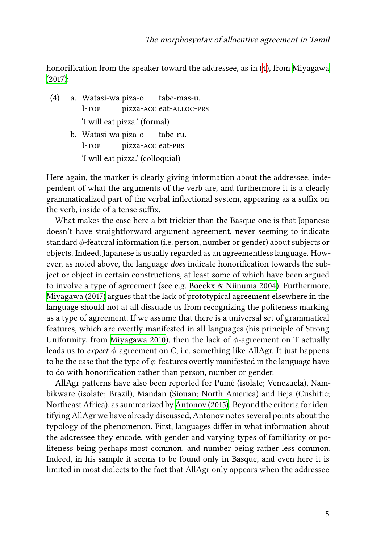honorification from the speaker toward the addressee, as in (4), from Miyagawa (2017):

- (4) a. Watasi-wa piza-o I-TOP pizza-acc eat-alloc-prs tabe-mas-u. 'I will eat pizza.' (formal)
	- b. Watasi-wa piza-o I-TOP pizza-acc eat-prs tabe-ru. 'I will eat pizza.' (colloquial)

Here again, the marker is clearly giving information about the addressee, independent of what the arguments of the verb are, and furthermore it is a clearly grammaticalized part of the verbal infle[ctional system, appearing](#page-32-3) as a suffix on [the verb, inside o](#page-32-2)f a tense suffix.

What makes the case here a bit trickier than the Basque one is that Japanese doesn't have straightforward argument agreement, never seeming to indicate standard *ϕ*-featural information (i.e. person, number or gender) about subjects or objects. Indeed, Ja[panese is usually](#page-32-4) regarded as an agreementless language. However, as noted above, the language *does* indicate honorification towards the subject or object in certain constructions, at least some of which have been argued to involve a type of agreement (see e.g. Boeckx & Niinuma 2004). Furthermore, Miyagawa (2017) argues that the lack of prototypical agreement elsewhere in the language should not at all dissuade us from recognizing the politeness marking as a type of agreement. If we assum[e that there is a](#page-31-1) universal set of grammatical features, which are overtly manifested in all languages (his principle of Strong Uniformity, from Miyagawa 2010), then the lack of *ϕ*-agreement on T actually leads us to *expect ϕ*-agreement on C, i.e. something like AllAgr. It just happens to be the case that the type of *ϕ*-features overtly manifested in the language have to do with honorification rather than person, number or gender.

AllAgr patterns have also been reported for Pumé (isolate; Venezuela), Nambikware (isolate; Brazil), Mandan (Siouan; North America) and Beja (Cushitic; Northeast Africa), as summarized byAntonov (2015). Beyond the criteria for identifying AllAgr we have already discussed, Antonov notes several points about the typology of the phenomenon. First, languages differ in what information about the addressee they encode, with gender and varying types of familiarity or politeness being perhaps most common, and number being rather less common. Indeed, in his sample it seems to be found only in Basque, and even here it is limited in most dialects to the fact that AllAgr only appears when the addressee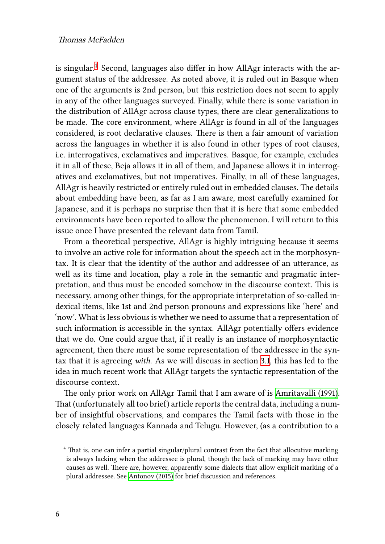is singular.<sup>4</sup> Second, languages also differ in how AllAgr interacts with the argument status of the addressee. As noted above, it is ruled out in Basque when one of the arguments is 2nd person, but this restriction does not seem to apply in any of the other languages surveyed. Finally, while there is some variation in the distribution of AllAgr across clause types, there are clear generalizations to be made. The core environment, where AllAgr is found in all of the languages considered, is root declarative clauses. There is then a fair amount of variation across the languages in whether it is also found in other types of root clauses, i.e. interrogatives, exclamatives and imperatives. Basque, for example, excludes it in all of these, Beja allows it in all of them, and Japanese allows it in interrogatives and exclamatives, but not imperatives. Finally, in all of these languages, AllAgr is heavily restricted or entirely ruled out in embedded clauses. The details about embedding have been, as far as I am aware, most carefully examined for Japanese, and it is perhaps no surprise then that it is here that some embedded environments have been reported to allow the phenomenon. I will return to this issue once I have presented the relevant data from Tamil.

From a theoretical perspective, AllAgr is highly intriguing because it seems to involve an active role for information about the speech act in the morphosyntax. It is clear that the identity of the author and addressee of an utterance, as well as its time and location, play a role in the semanti[c an](#page-22-0)d pragmatic interpretation, and thus must be encoded somehow in the discourse context. This is necessary, among other things, for the appropriate interpretation of so-called indexical items, like 1st and 2nd person pronouns and expressi[ons like 'here' and](#page-31-2) 'now'. What is less obvious is whether we need to assume that a representation of such information is accessible in the syntax. AllAgr potentially offers evidence that we do. One could argue that, if it really is an instance of morphosyntactic agreement, then there must be some representation of the addressee in the syntax that it is agreeing *with*. As we will discuss in section 3.1, this has led to the idea in much recent work that AllAgr targets the syntactic representation of the discourse context.

The only prior w[ork on AllAgr](#page-31-1) Tamil that I am aware of is Amritavalli (1991). That (unfortunately all too brief) article reports the central data, including a number of insightful observations, and compares the Tamil facts with those in the closely related languages Kannada and Telugu. However, (as a contribution to a

 $4$  That is, one can infer a partial singular/plural contrast from the fact that allocutive marking is always lacking when the addressee is plural, though the lack of marking may have other causes as well. There are, however, apparently some dialects that allow explicit marking of a plural addressee. See Antonov (2015) for brief discussion and references.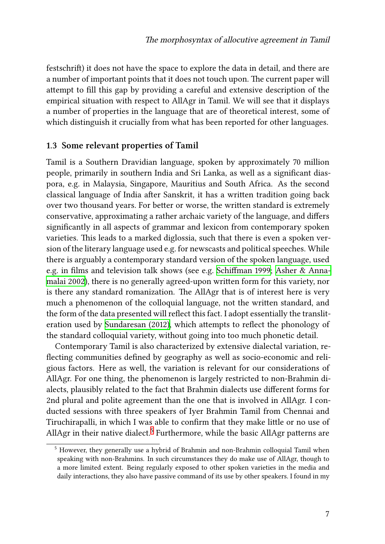festschrift) it does not have the space to explore the data in detail, and there are a number of important points that it does not touch upon. The current paper will attempt to fill this gap by providing a careful and extensive description of the empirical situation with respect to AllAgr in Tamil. We will see that it displays a number of properties in the language that are of theoretical interest, some of which distinguish it crucially from what has been reported for other languages.

#### **1.3 Some relevant properties of Tamil**

Tamil is a Southern Dravidian language, spoken by approximately 70 million people, primarily in southern India and Sri Lanka, as well as a significant diaspora, e.g. in Malaysia, Singapore, Mauritius a[nd South Africa](#page-32-5). [As the second](#page-32-6) [classical la](#page-32-6)nguage of India after Sanskrit, it has a written tradition going back over two thousand years. For better or worse, the written standard is extremely conservative, approximating a rather archaic variety of the language, and differs significantly in all aspects of grammar and lexicon from contemporary spoken varieties. This le[ads to a marked di](#page-33-0)glossia, such that there is even a spoken version of the literary language used e.g. for newscasts and political speeches. While there is arguably a contemporary standard version of the spoken language, used e.g. in films and television talk shows (see e.g. Schiffman 1999; Asher & Annamalai 2002), there is no generally agreed-upon written form for this variety, nor is there any standard romanization. The AllAgr that is of interest here is very much a phenomenon of the colloquial language, not the written standard, and the form of the data presented will reflect this fact. I adopt essentially the transliteration used by Sundaresan (2012), which attempts to reflect the phonology of the standard colloquial variety, without going into too much phonetic detail.

Contemporary Tamil is also characterized by extensive dialectal variation, reflecting communities defined by geography as well as socio-economic and religious factors. Here as well, the variation is relevant for our considerations of AllAgr. For one thing, the phenomenon is largely restricted to non-Brahmin dialects, plausibly related to the fact that Brahmin dialects use different forms for 2nd plural and polite agreement than the one that is involved in AllAgr. I conducted sessions with three speakers of Iyer Brahmin Tamil from Chennai and Tiruchirapalli, in which I was able to confirm that they make little or no use of AllAgr in their native dialect.<sup>5</sup> Furthermore, while the basic AllAgr patterns are

<sup>&</sup>lt;sup>5</sup> However, they generally use a hybrid of Brahmin and non-Brahmin colloquial Tamil when speaking with non-Brahmins. In such circumstances they do make use of AllAgr, though to a more limited extent. Being regularly exposed to other spoken varieties in the media and daily interactions, they also have passive command of its use by other speakers. I found in my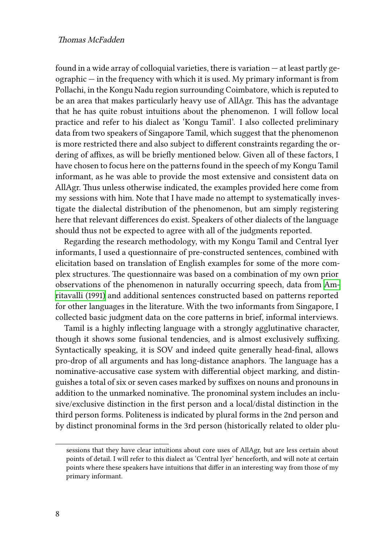found in a wide array of colloquial varieties, there is variation  $-$  at least partly geographic — in the frequency with which it is used. My primary informant is from Pollachi, in the Kongu Nadu region surrounding Coimbatore, which is reputed to be an area that makes particularly heavy use of AllAgr. This has the advantage that he has quite robust intuitions about the phenomenon. I will follow local practice and refer to his dialect as 'Kongu Tamil'. I also collected preliminary data from two speakers of Singapore Tamil, which suggest that the phenomenon is more restricted there and also subject to different constraints regarding the ordering of affixes, as will be briefly mentioned below. Given all of these factors, I have chosen to focus here on the patterns found in the speech of my Kongu Tamil informant, as he was able to provide the most extensive and consistent data on AllAgr. Thus unless otherwise indicated, the examples provided here come from my sessions with him. Note that I have made no attempt to systematically i[nves](#page-31-2)[tigate the dial](#page-31-2)ectal distribution of the phenomenon, but am simply registering here that relevant differences do exist. Speakers of other dialects of the language should thus not be expected to agree with all of the judgments reported.

Regarding the research methodology, with my Kongu Tamil and Central Iyer informants, I used a questionnaire of pre-constructed sentences, combined with elicitation based on translation of English examples for some of the more complex structures. The questionnaire was based on a combination of my own prior observations of the phenomenon in naturally occurring speech, data from Amritavalli (1991) and additional sentences constructed based on patterns reported for other languages in the literature. With the two informants from Singapore, I collected basic judgment data on the core patterns in brief, informal interviews.

Tamil is a highly inflecting language with a strongly agglutinative character, though it shows some fusional tendencies, and is almost exclusively suffixing. Syntactically speaking, it is SOV and indeed quite generally head-final, allows pro-drop of all arguments and has long-distance anaphors. The language has a nominative-accusative case system with differential object marking, and distinguishes a total of six or seven cases marked by suffixes on nouns and pronouns in addition to the unmarked nominative. The pronominal system includes an inclusive/exclusive distinction in the first person and a local/distal distinction in the third person forms. Politeness is indicated by plural forms in the 2nd person and by distinct pronominal forms in the 3rd person (historically related to older plu-

sessions that they have clear intuitions about core uses of AllAgr, but are less certain about points of detail. I will refer to this dialect as 'Central Iyer' henceforth, and will note at certain points where these speakers have intuitions that differ in an interesting way from those of my primary informant.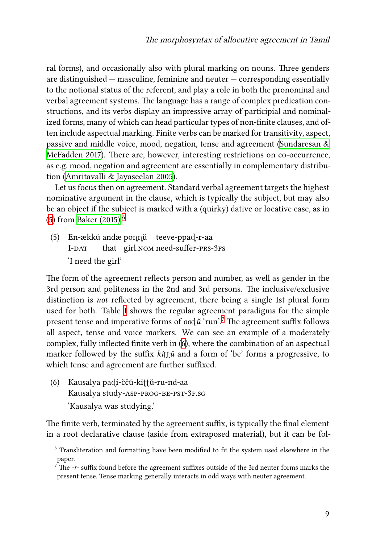[ral forms\), and](#page-33-1) occasionally also with plural marking on nouns. Three genders are distinguished — masculine, feminine and neuter — corresponding essentially to th[e notional status of the referent](#page-31-3), and play a role in both the pronominal and verbal agreement systems. The language has a range of complex predication constructions, and its verbs display an impressive array of participial and nominalized forms, many of which can head particular types of non-finite clauses, and of[te](#page-8-0)n incl[ude aspectual](#page-32-7) marking. Finite verbs can be marked for transitivity, aspect, passive and middle voice, mood, negation, tense and agreement (Sundaresan & McFadden 2017). There are, however, interesting restrictions on co-occurrence, as e.g. mood, negation and agreement are essentially in complementary distribution (Amritavalli & Jayaseelan 2005).

<span id="page-8-0"></span>Let us focus then on agreement. Standard verbal agreement targets the highest nominative argument in the clause, which is typically the subject, but may also be an object if the subject is marked with a (quirky) dative or locative case, as in (5) from Baker (2015). [6](#page-9-0)

(5) En-ækkŭ andæ ponnŭ teeve-ppad-r-aa I-DAT that girl.nom need-s[uff](#page-8-1)er-prs-3fs 'I need the girl'

<span id="page-8-1"></span>The form of the agreement reflects person and number, as well as gender in the 3rd person and politeness in the 2nd and 3rd persons. The inclusive/exclusive distinction is *not* reflected by agreement, there being a single 1st plural form used for both. Table 1 shows the regular agreement paradigms for the simple present tense and imperative forms of *oo*d $\check{u}$  'run'.<sup>7</sup> The agreement suffix follows all aspect, tense and voice markers. We can see an example of a moderately complex, fully inflected finite verb in (6), where the combination of an aspectual marker followed by the suffix *ki*ttu and a form of 'be' forms a progressive, to which tense and agreement are further suffixed.

(6) Kausalya padi-ččŭ-kittŭ-ru-nd-aa Kausalya study-asp-prog-be-pst-3f.sg 'Kausalya was studying.'

The finite verb, terminated by the agreement suffix, is typically the final element in a root declarative clause (aside from extraposed material), but it can be fol-

<sup>6</sup> Transliteration and formatting have been modified to fit the system used elsewhere in the paper.

<sup>&</sup>lt;sup>7</sup> The *-r*- suffix found before the agreement suffixes outside of the 3rd neuter forms marks the present tense. Tense marking generally interacts in odd ways with neuter agreement.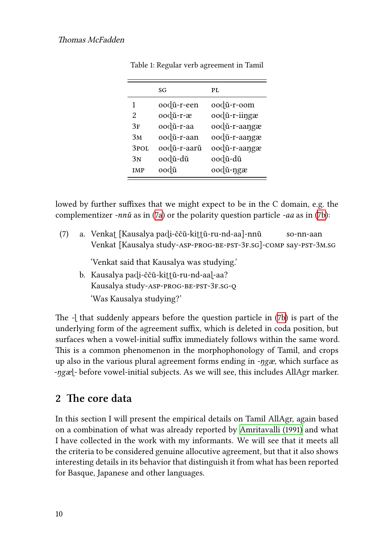|         | SG          | PI.          |
|---------|-------------|--------------|
| 1       | oodŭ-r-een  | oodŭ-r-oom   |
| 2       | oodŭ-r-æ    | oodu-r-iingæ |
| 3f      | oodŭ-r-aa   | oodu-r-aangæ |
| ЗM      | oodŭ-r-aan  | oodu-r-aangæ |
| $3$ POL | oodŭ-r-aarŭ | oodu-r-aangæ |
| 3Ν      | oodu-du     | oodŭ-dŭ      |
| IMP     | oodŭ        | oodu-ngæ     |

<span id="page-9-0"></span>Table 1: Regular verb agreement in Tamil

<span id="page-9-1"></span>lowed by further suffixes that we might expect to be in the C domain, e.g. the complementizer *-nnŭ* as in (7a) or the polarity question particle *-aa* as in (7b):

(7) – a. Venkatٍ [Kausalya padi-ččŭ-kit̥tŭ-ru-nd-aa]-nnŭ Venkat [Kausalya study-asp-prog-be-pst-3f.sg]-comp say-pst-3m.sg so-nn-aan

'Venkat said that Kausalya was studying.'

b. Kausalya padi-ččŭ-kit̥tŭ-ru-nd-aal-aa? Kausalya study-asp-prog-be-pst-3f.sg-q 'Was Kausalya studying?'

The *-*í that suddenly appears before the question particle in (7b) is part of the underlying form of the agreement suffix, which is deleted in coda position, but surfaces when a vowel-initial suffix immediately fo[llows within the sa](#page-31-2)me word. This is a common phenomenon in the morphophonology of Tamil, and crops up also in the various plural agreement forms ending in *-ŋgæ*, which surface as *-ŋgæ*í*-* before vowel-initial subjects. As we will see, this includes AllAgr marker.

# **2 The core data**

In this section I will present the empirical details on Tamil AllAgr, again based on a combination of what was already reported by Amritavalli (1991) and what I have collected in the work with my informants. We will see that it meets all the criteria to be considered genuine allocutive agreement, but that it also shows interesting details in its behavior that distinguish it from what has been reported for Basque, Japanese and other languages.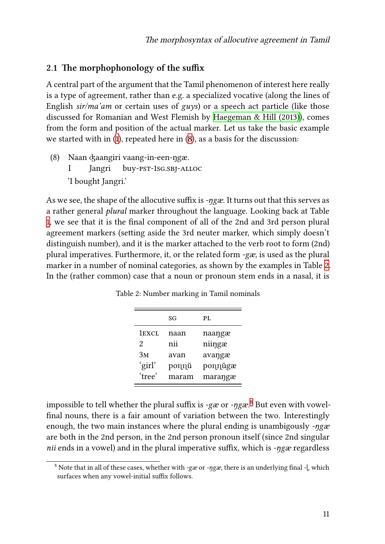#### <span id="page-10-0"></span>**2.1 The morphophonology of the suffix**

A central part of the argument that the Tamil phenomenon of interest here really is a type of agreement, rather than e.g. a specialized vocative (along the lines of English *sir/ma'am* or certain uses of *guys*) or a speech act particle (like those discussed for Romanian and West Flemish by Haegeman & Hill (2013)), comes [fr](#page-9-0)om the form and position of the actual marker. Let us take the basic example we started with in (1), repeated here in (8), as a basis for the discussion:

(8) Naan Ãaangiri vaang-in-een-ŋgæ.

I Jangri buy-pst-1sg.sbj-alloc

```
'I bought Jangri.'
```
As we see, the shape of the allocutive suffix is*-ŋgæ*. It turns out that this serves as a rather general *plural* marker throughout the language. Looking back at Table 1, we see that it is the final component of all of the 2nd and 3rd person plural agreement markers (setting aside the 3rd neuter marker, which simply doesn't distinguish number), and it is the marker attached to the verb root to form (2nd) plural imperatives. Furthermore, it, or the related form *-gæ*, is used as the plural marker in a number of nominal categories, as shown by the examples in Table 2. In the (rather common) case that a noun or pronoun stem ends in a nasal, it is

Table 2: Number marking in Tamil nominals

|        | SG    | PL      |
|--------|-------|---------|
| 1 EXCL | naan  | naangæ  |
| 2      | nii   | niingæ  |
| 3м     | avan  | avangæ  |
| 'girl' | ponnŭ | ponnugæ |
| 'tree' | maram | maraŋgæ |

impossible to tell whether the plural suffix is *-gæ* or *-ŋgæ*. <sup>8</sup> But even with vowelfinal nouns, there is a fair amount of variation between the two. Interestingly enough, the two main instances where the plural ending is unambigously *-ŋgæ* are both in the 2nd person, in the 2nd person pronoun itself (since 2nd singular *nii* ends in a vowel) and in the plural imperative suffix, which is *-ŋgæ* regardless

<sup>8</sup> Note that in all of these cases, whether with *-gæ* or *-ŋgæ*, there is an underlying final *-*í, which surfaces when any vowel-initial suffix follows.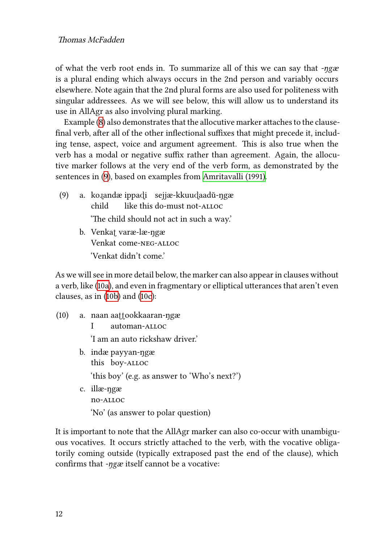of what the verb root ends in. To summarize all of this we can say that *-ŋgæ* is a plural ending which always occurs in the 2nd person and variably occurs elsewhere. N[ot](#page-11-0)e again that the 2nd plural [forms are also use](#page-31-2)d for politeness with singular addressees. As we will see below, this will allow us to understand its use in AllAgr as also involving plural marking.

<span id="page-11-0"></span>Example (8) also demonstrates that the allocutive marker attaches to the clausefinal verb, after all of the other inflectional suffixes that might precede it, including tense, aspect, voice and argument agreement. This is also true when the verb has a modal or negative suffix rather than agreement. Again, the allocutive marker follows at the very end of the verb form, as demonstrated by the sentences in (9), based on examples from Amritavalli (1991).

- <span id="page-11-1"></span>(9) a. ko.[an](#page-11-1)dæippadi sejjæ-kkuudaadŭ-ŋgæ chil[d](#page-11-2) like [this](#page-11-3) do-must not-alloc 'The child should not act in such a way.'
	- b. Venkat varæ-læ-ŋgæ Venkat come-neg-alloc 'Venkat didn't come.'

<span id="page-11-2"></span>As we will see in more detail below, the marker can also appear in clauses without a verb, like (10a), and even in fragmentary or elliptical utterances that aren't even clauses, as in (10b) and (10c):

<span id="page-11-3"></span>(10) a. naan aattookkaaran-ŋgæ I automan-alloc 'I am an auto rickshaw driver.' b. indæ payyan-ŋgæ this boy-alloc 'this boy' (e.g. as answer to 'Who's next?') c. illæ-ŋgæ no-alloc 'No' (as answer to polar question)

It is important to note that the AllAgr marker can also co-occur with unambiguous vocatives. It occurs strictly attached to the verb, with the vocative obligatorily coming outside (typically extraposed past the end of the clause), which confirms that *-ŋgæ* itself cannot be a vocative: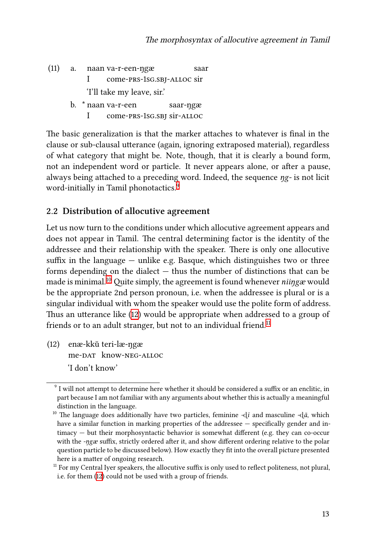(11) a. naan va-r-een-ŋgæ I come-prs-1sg.sbj-alloc sir saar 'I'll take my leave, sir.' b. \* naan va-r-een I come-prs-1sg.sbj sir-alloc saar-ŋgæ

The basic generalization is that the marker attaches to whatever is final in the clause or sub-clausal utterance (again, ignoring extraposed material), regardless of what category that might be. Note, though, that it is clearly a bound form, not an independent word or particle. It never appears alone, or after a pause, always being attached to a preceding word. Indeed, the sequence *ŋg-* is not licit word-initially in Tamil phonotactics.<sup>9</sup>

#### **2.2 Distribution of allocutive agreement**

<span id="page-12-0"></span>Let us now turn to the c[on](#page-12-0)ditions under which allocutive agreement appears and does not appear in Tamil. The central determining factor is the identity of the addressee and their relationship with the speaker. There is only one allocutive suffix in the language — unlike e.g. Basque, which distinguishes two or three forms depending on the dialect  $-$  thus the number of distinctions that can be made is minimal.<sup>10</sup> Quite simply, the agreement is found whenever *niiŋgæ* would be the appropriate 2nd person pronoun, i.e. when the addressee is plural or is a singular individual with whom the speaker would use the polite form of address. Thus an utterance like (12) would be appropriate when addressed to a group of friends or to an adult stranger, but not to an individual friend.<sup>11</sup>

(12) enæ-kkŭ teri-læ-ŋgæ me-dat know-neg-alloc 'I don't know'

 $^9$  I will not att[em](#page-12-0)pt to determine here whether it should be considered a suffix or an enclitic, in part because I am not familiar with any arguments about whether this is actually a meaningful distinction in the language.

<sup>&</sup>lt;sup>10</sup> The language does additionally have two particles, feminine - $d\overline{\iota}$  and masculine - $d\overline{\iota}$ , which have a similar function in marking properties of the addressee — specifically gender and intimacy — but their morphosyntactic behavior is somewhat different (e.g. they can co-occur with the *-ŋgæ* suffix, strictly ordered after it, and show different ordering relative to the polar question particle to be discussed below). How exactly they fit into the overall picture presented here is a matter of ongoing research.

 $11$  For my Central Iyer speakers, the allocutive suffix is only used to reflect politeness, not plural, i.e. for them (12) could not be used with a group of friends.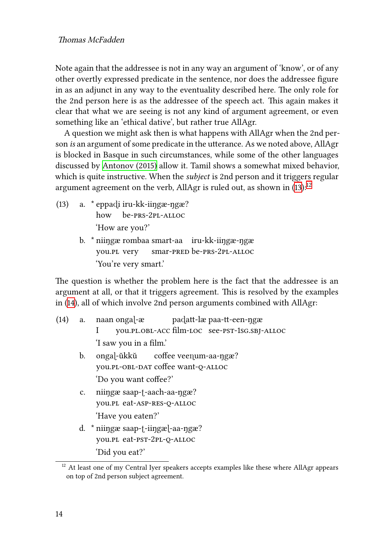Note again that the addressee is not in any way an argument of 'know', or of any other overtly [expressed pred](#page-31-1)icate in the sentence, nor does the addressee figure in as an adjunct in any way to the eventuality described here. The only role for the 2nd person here is as the addressee of the speech act. This ag[ain](#page-13-0) makes it clear that what we are seeing is not any kind of argument agreement, or even something like an 'ethical dative', but rather true AllAgr.

<span id="page-13-0"></span>A question we might ask then is what happens with AllAgr when the 2nd person *is* an argument of some predicate in the utterance. As we noted above, AllAgr is blocked in Basque in such circumstances, while some of the other languages discussed by Antonov (2015) allow it. Tamil shows a somewhat mixed behavior, which is quite instructive. When the *subject* is 2nd person and it triggers regular argument agreement on the verb, AllAgr is ruled out, as shown in  $(13)$ <sup>12</sup>

- (13) a. \* eppadi iru-kk-iingæ-ngæ? how be-prs-2pl-alloc 'How are you?'
	- b. \* niiŋgæ rombaa smart-aa iru-kk-iiŋgæ-ŋgæ you.pl very smar-pred be-prs-2pl-alloc 'You're very smart.'

<span id="page-13-1"></span>The question is whether the problem here is the fact that the addressee is an argument at all, or that it triggers agreement. This is resolved by the examples in (14), all of which involve 2nd person arguments combined with AllAgr:

- <span id="page-13-2"></span> $(14)$  a. I naan ongal-æ you.pl.obl-acc film-loc see-pst-1sg.sbj-alloc padatt-læ paa-tt-een-ŋgæ 'I saw you in a film.'
	- b. ongal-ŭkkŭ you.pl-obl-dat coffee want-q-alloc coffee veenum-aa-ŋgæ? 'Do you want coffee?'
	- c. niingæ saap-t-aach-aa-ngæ? you.pl eat-asp-res-q-alloc 'Have you eaten?'
	- d. \* niingæ saap-t-iingæl-aa-ngæ? you.pl eat-pst-2pl-q-alloc 'Did you eat?'

 $12$  At least one of my Central Iyer speakers accepts examples like these where AllAgr appears on top of 2nd person subject agreement.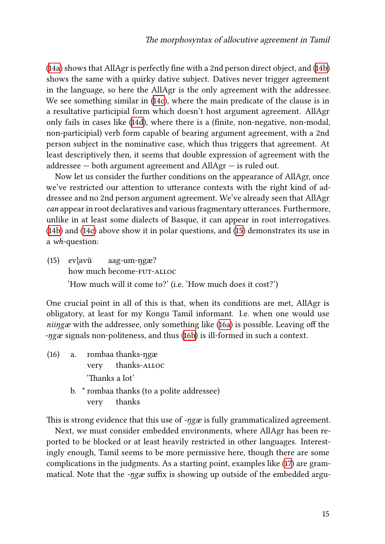(14a) shows that AllAgr is perfectly fine with a 2nd person direct object, and (14b) shows the same with a quirky dative subject. Datives never trigger agreement in the language, so here the AllAgr is the only agreement with the addressee. We see something similar in (14c), where the main predicate of the clause is in a resultative participial form which doesn't host argument agreement. AllAgr only fails in cases like (14d), where there is a (finite, non-negative, non-modal, non-participial) verb form capable of bearing argument agreement, with a 2nd [pers](#page-13-1)on su[bjec](#page-13-2)t in the nominative case, which thus t[rig](#page-14-0)gers that agreement. At least descriptively then, it seems that double expression of agreement with the addressee — both argument agreement and AllAgr — is ruled out.

<span id="page-14-0"></span>Now let us consider the further conditions on the appearance of AllAgr, once we've restricted our attention to utterance contexts with the right kind of addressee and no 2nd person argument agreement. We've already seen that AllAgr *can* appear in root declaratives and various fragmentary utterances. Furthermore, unlike in at least some dialects of Basque, it can appear in root interrogatives. (14b) and (14c) above show it in polar questions, [and](#page-14-1) (15) demonstrates its use in a *wh*-question:

<span id="page-14-1"></span>(15) evíavŭ how much become-fut-alloc aag-um-ŋgæ? 'How much will it come to?' (i.e. 'How much does it cost?')

One crucial point in all of this is that, when its conditions are met, AllAgr is obligatory, at least for my Kongu Tamil informant. I.e. when one would use *niiŋgæ* with the addressee, only something like (16a) is possible. Leaving off the *-ŋgæ* signals non-politeness, and thus (16b) is ill-formed in such a context.

(16) a. rombaa thanks-ŋgæ very thanks-alloc 'Thanks a lot' b. \* rombaa thanks (to a polite addressee) very thanks

This is strong evidence that this use of *-ŋgæ* is fully grammaticalized agreement.

Next, we must consider embedded environments, where AllAgr has been reported to be blocked or at least heavily restricted in other languages. Interestingly enough, Tamil seems to be more permissive here, though there are some complications in the judgments. As a starting point, examples like (17) are grammatical. Note that the *-ŋgæ* suffix is showing up outside of the embedded argu-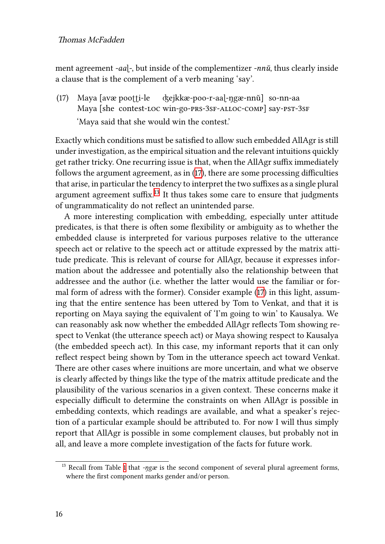<span id="page-15-0"></span>ment agreement *-aa*í*-*, but inside of the complementizer *-nnŭ*, thus clearly inside a clause that is the complement of a ve[rb](#page-15-0) meaning 'say'.

(17) Maya [avæ pootti-le Maya [she contest-loc win-go-prs-3sf-alloc-comp] say-pst-3sf Ãejkkæ-poo-r-aaí-ŋgæ-nnŭ] so-nn-aa 'Maya said that she would win the contest.'

Exactly which conditions must be satisfied to allow such embedded AllAgr is still under investigation, as the empirical situation and the relevant intuitions quickly get rather tricky. One recurring issue is that, when the AllAgr suffix immediately follows the argument agreement, as in (17), there are some processing difficulties that arise, in particular the tendency to interpret the two suffixes as a single plural argument agreement suffix.<sup>13</sup> It thus takes some care to [en](#page-15-0)sure that judgments of ungrammaticality do not reflect an unintended parse.

A more interesting complication with embedding, especially unter attitude predicates, is that there is often some flexibility or ambiguity as to whether the embedded clause is interpreted for various purposes relative to the utterance speech act or relative to the speech act or attitude expressed by the matrix attitude predicate. This is relevant of course for AllAgr, because it expresses information about the addressee and potentially also the relationship between that addressee and the author (i.e. whether the latter would use the familiar or formal form of adress with the former). Consider example (17) in this light, assuming that the entire sentence has been uttered by Tom to Venkat, and that it is reporting on Maya saying the equivalent of 'I'm going to win' to Kausalya. We can reasonably ask now whether the embedded AllAgr reflects Tom showing respect to Venkat (the utterance speech act) or Maya showing respect to Kausalya (the embedded speech act). In this case, my informant reports that it can only reflect respect being shown by Tom in the utterance speech act toward Venkat. There are other cases where inuitions are more uncertain, and what we observe is clearly affected b[y](#page-9-0) things like the type of the matrix attitude predicate and the plausibility of the various scenarios in a given context. These concerns make it especially difficult to determine the constraints on when AllAgr is possible in embedding contexts, which readings are available, and what a speaker's rejection of a particular example should be attributed to. For now I will thus simply report that AllAgr is possible in some complement clauses, but probably not in all, and leave a more complete investigation of the facts for future work.

<sup>&</sup>lt;sup>13</sup> Recall from Table 1 that *-ŋgæ* is the second component of several plural agreement forms, where the first component marks gender and/or person.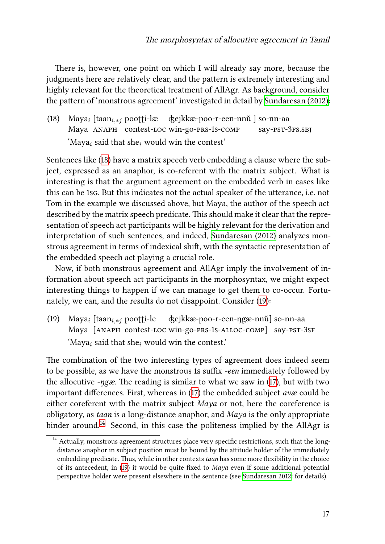<span id="page-16-0"></span>There is, ho[wev](#page-16-0)er, one point on which I will already say more, because the judgments here are relatively clear, and the pattern is extremely interesting and highly relevant for the theoretical treatment of AllAgr. As background, consider the pattern of 'monstrous agreement' investigated in detail by Sundaresan (2012):

(18) Maya<sub>*i*</sub> [taan<sub>*i,∗j* pootti-læ &ejkkæ-poo-r-een-nnŭ ] so-nn-aa</sub> Maya anaph contest-loc win-go-prs-1s-comp say-pst-3Fs.sbj 'Maya*<sup>i</sup>* said that she*<sup>i</sup>* would win the con[test'](#page-33-0)

Sentences like (18) have a matrix speech verb embedding a clause where the subject, expressed as an anaphor, is co-referent with the matrix subject. What is interesting is that the argument agreement on the embedded verb in cases like this can be 1sg. But this indicates not the actual speaker of the utterance, i.e. not Tom in the example we discussed above, but Maya, the author of the speech act described by the matrix speech predicate. This should makei[t cl](#page-16-1)ear that the representation of speech act participants will be highly relevant for the derivation and interpretation of such sentences, and indeed, Sundaresan (2012) analyzes monstrous agreement in terms of indexical shift, with the syntactic representation of the embedded speech act playing a crucial role.

<span id="page-16-1"></span>Now, if both monstrous agreement and AllAgr imply the involvement of information about speech act participants in the morphosyntax, we might expect interesting things to happen if we can manage to get them t[o co](#page-15-0)-occur. Fortunately, we can, and the results do not di[sap](#page-15-0)point. Consider (19):

(19) Maya*<sup>i</sup>* [taan*i,∗<sup>j</sup>* pooúúi-le Maya [ANAPH contest-LOC win-go-PRS-1S-ALLOC-COMP] say-PST-3SF Ãejkkæ-poo-r-een-ŋgæ-nnŭ] so-nn-aa 'Maya*<sup>i</sup>* said that she*<sup>i</sup>* would win the contest.'

The combination of the two interesting types of agreement does indeed seem to be possible, as we have the monstrous 1s suffix *-een* immediately followed by the allocutive *-ŋgæ*. [Th](#page-16-1)e reading is similar to what we [saw in \(17\), bu](#page-33-0)t with two important differences. First, whereas in (17) the embedded subject *avæ* could be either coreferent with the matrix subject *Maya* or not, here the coreference is obligatory, as *taan* is a long-distance anaphor, and *Maya* is the only appropriate binder around.<sup>14</sup> Second, in this case the politeness implied by the AllAgr is

<sup>&</sup>lt;sup>14</sup> Actually, monstrous agreement structures place very specific restrictions, such that the longdistance anaphor in subject position must be bound by the attitude holder of the immediately embedding predicate. Thus, while in other contexts*taan* has some more flexibility in the choice of its antecedent, in (19) it would be quite fixed to *Maya* even if some additional potential perspective holder were present elsewhere in the sentence (see Sundaresan 2012: for details).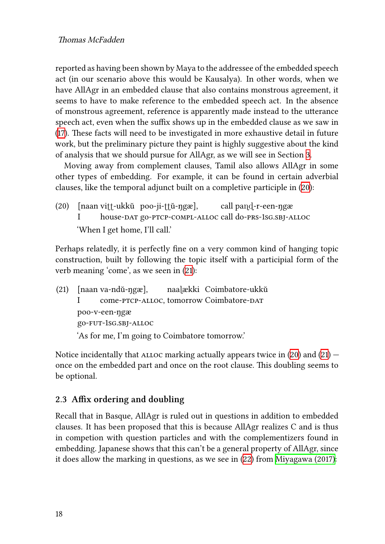<span id="page-17-0"></span>reported as having been shown by Maya to the addressee of the embedd[ed](#page-22-1) speech act (in our scenario above this would be Kausalya). In other words, when we have AllAgr in an embedded clause that also contains monstrous agreement, it seems to have to make reference to the embedded speech act. In t[he](#page-17-0) absence of monstrous agreement, reference is apparently made instead to the utterance speech act, even when the suffix shows up in the embedded clause as we saw in (17). These facts will need to be investigated in more exhaustive detail in future work, but the preliminary picture they paint is highly suggestive about the kind of analysis that we should pursue for AllAgr, as we will see in Section 3.

Moving away from complement clauses, Tamil also allows AllAgr in some other types of embedding. For exa[mp](#page-17-1)le, it can be found in certain adverbial clauses, like the temporal adjunct built on a completive participle in (20):

<span id="page-17-1"></span>(20) [naan vitt-ukkŭ poo-ji-ttŭ-ŋgæ], I house-dat go-ptcp-compl-alloc call do-prs-1sg.sbj-alloc call pand-r-een-ŋgæ 'When I get home, I'll call.'

Perhaps relatedly, it is perfectly fine on a very common kind of hanging topic construction, built by following the topic itself with a participi[al f](#page-17-0)orm [of t](#page-17-1)he verb meaning 'come', as we seen in (21):

<span id="page-17-3"></span>(21) [naan va-ndŭ-ŋgæ], I come-PTCP-ALLOC, tomorrow Coimbatore-DAT naa<mark>lækki Coimbatore-ukkŭ</mark> poo-v-een-ŋgæ go-fut-1sg.sbj-alloc 'As for me, I'm going to Coimbatore tomorrow.'

Notice incidentally that ALLOC marking actually appears twice in (20) and (21)  $$ once on the embedded part and once on the root cla[use](#page-17-2). This [doubling seems to](#page-32-2) be optional.

#### <span id="page-17-2"></span>**2.3 Affix ordering and doubling**

Recall that in Basque, AllAgr is ruled out in questions in addition to embedded clauses. It has been proposed that this is because AllAgr realizes C and is thus in competion with question particles and with the complementizers found in embedding. Japanese shows that this can't be a general property of AllAgr, since it does allow the marking in questions, as we see in (22) from Miyagawa (2017):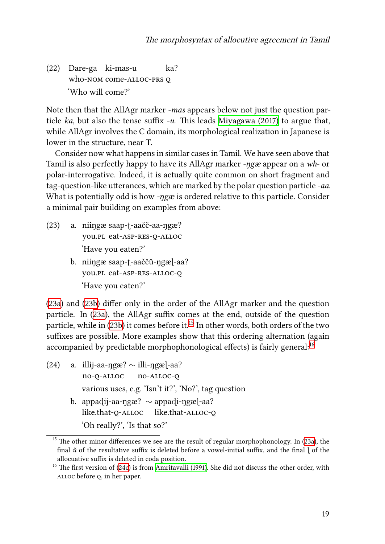(22) Dare-ga ki-mas-u who-nom come-alloc-prs q ka? 'Who will come?'

Note then that the AllAgr marker *-mas* appears below not just the question particle *ka*, but also the tense suffix *-u*. This leads Miyagawa (2017) to argue that, while AllAgr involves the C domain, its morphological realization in Japanese is lower in the structure, near T.

<span id="page-18-1"></span><span id="page-18-0"></span>Consider now what happens in similar cases in Tamil. We have seen above that Tamil is also perfectly happy to have its AllAgr marker *-ŋgæ* appear on a *wh*- or polar-interrogative. Indeed, it is actually quite common on short fragment and tag-question-like utterances, which are marked by the polar question particle *-aa*. What is potentially odd is how *-ŋgæ* is ordered relative to this particle. Consider [a mi](#page-18-0)nimal [pair](#page-18-1) building on examples from above:

- (23) a. niingæ saap-t-aačč-aa-ngæ? you.pl [eat-](#page-18-1)asp-res-q-alloc 'Have you eaten?'
	- b. niingæ saap-t-aaččŭ-ngæl-aa? you.pl eat-asp-res-alloc-q 'Have you eaten?'

(23a) and (23b) differ only in the order of the AllAgr marker and the question particle. In (23a), the AllAgr suffix comes at the end, outside of the question particle, while in  $(23b)$  it comes before it.<sup>15</sup> In other words, both orders of the two suffixes are possible. More examples show that this ordering alternation (again accompanied by predictable morphophonological effects) is fairly gener[al:](#page-18-0)<sup>16</sup>

(24) a. illij-aa-ŋgæ? *∼* illi-ŋgæí-aa? no-q-all[oc](#page-19-0) no-a[lloc-q](#page-31-2) various uses, e.g. 'Isn't it?', 'No?', tag question b. appad<mark>ij-aa-ŋgæ? ∼ appadi-ŋgæ</mark>l-aa? like.that-q-alloc like.that-alloc-q

'Oh really?', 'Is that so?'

<sup>&</sup>lt;sup>15</sup> The other minor differences we see are the result of regular morphophonology. In (23a), the final *ŭ* of the resultative suffix is deleted before a vowel-initial suffix, and the final  $\vert$  of the allocuative suffix is deleted in coda position.

<sup>&</sup>lt;sup>16</sup> The first version of (24c) is from Amritavalli (1991). She did not discuss the other order, with alloc before q, in her paper.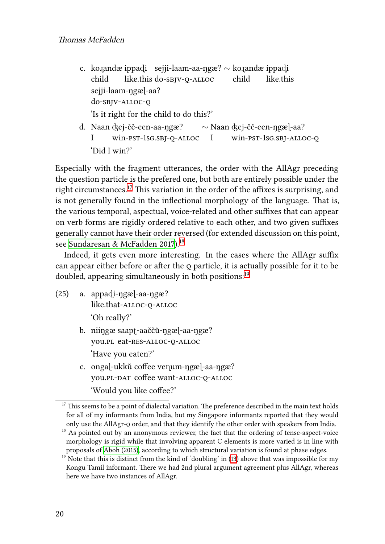- <span id="page-19-1"></span><span id="page-19-0"></span>c. ko<mark>.andæ ippadi sejji-laam-aa-ŋgæ? ∼ ko.andæ ippad</mark>i child like.this do-sbjv-q-alloc child like.this sejji-laam-ŋgæļ-aa? do-sbjv-alloc-q 'Is it right for the child to do this?' d. Naan Ãej-čč-een-aa-ŋgæ? I win-pst-1sg.sbj-q-alloc *∼* Naan Ãej-čč-een-ŋgæí-aa? I win-pst-1sg.sbj-alloc-q
- ['Did I win?'](#page-33-1)

Especially with the fragment utterances, the order with the AllAgr preceding the question particle is the prefered one, but both are entirely possible under the right circumstances.<sup>17</sup> This variation in the order of the affixes is surprising, and is not generally found in the inflectional morphology of the language. That is, the various temporal, aspectual, voice-related and other suffixes that can appear on verb forms are rigidly ordered relative to each other, and two given suffixes generally cannot have their order reversed (for extended discussion on this point, see Sundaresan & McFadden 2017).<sup>18</sup>

Indeed, it gets even more interesting. In the cases where the AllAgr suffix can appear either before or after the  $Q$  particle, it is actually possible for it to be doubled, appearing simultaneously in both positions:<sup>19</sup>

- $(25)$  a. appadi-ngæl-aa-ngæ? like.that-alloc-q-alloc 'Oh really?'
	- b. niiŋgæ saapt-aaččŭ-ŋgæl-aa-ŋgæ? you.pl eat-res-alloc-q-alloc

'Have you eaten?'

c. ongal[-ukkŭ](#page-31-4) coffee venum-ŋgæl-aa-ŋg[æ?](#page-13-0) you.pl-dat coffee want-alloc-q-alloc

'Would you like coffee?'

 $^{\rm 17}$  This seems to be a point of dialectal variation. The preference described in the main text holds for all of my informants from India, but my Singapore informants reported that they would only use the AllAgr-q order, and that they identify the other order with speakers from India.

<sup>&</sup>lt;sup>18</sup> As pointed out by an anonymous reviewer, the fact that the ordering of tense-aspect-voice morphology is rigid while that involving apparent C elements is more varied is in line with proposals of Aboh (2015), according to which structural variation is found at phase edges.

 $19$  Note that this is distinct from the kind of 'doubling' in (13) above that was impossible for my Kongu Tamil informant. There we had 2nd plural argument agreement plus AllAgr, whereas here we have two instances of AllAgr.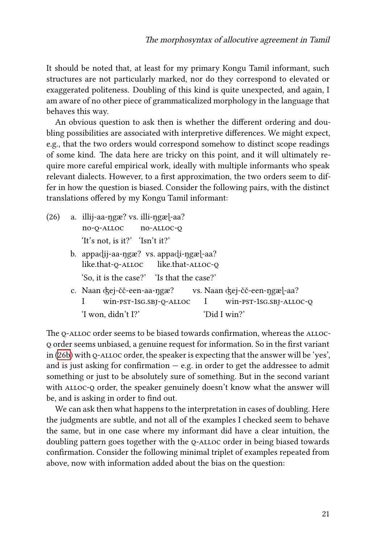It should be noted that, at least for my primary Kongu Tamil informant, such structures are not particularly marked, nor do they correspond to elevated or exaggerated politeness. Doubling of this kind is quite unexpected, and again, I am aware of no other piece of grammaticalized morphology in the language that behaves this way.

An obvious question to ask then is whether the different ordering and doubling possibilities are associated with interpretive differences. We might expect, e.g., that the two orders would correspond somehow to distinct scope readings of some kind. The data here are tricky on this point, and it will ultimately require more careful empirical work, ideally with multiple informants who speak relevant dialects. However, to a first approximation, the two orders seem to differ in how the question is biased. Consider the following pairs, with the distinct translations offered by my Kongu Tamil informant:

- (26) a. illij-aa-ŋgæ? vs. illi-ŋgæí-aa? no-q-alloc no-alloc-q 'It's not, is it?' 'Isn't it?'
	- b. appadij-aa-ŋgæ? vs. appadi-ŋgæl-aa? like.that-q-alloc like.that-ALLOC-Q 'So, it is the case?' 'Is that the case?'

c. Naan Ãej-čč-een-aa-ŋgæ? I win-pst-1sg.sbj-q-alloc vs. Naan cej-čč-een-ŋgæl-aa? I win-pst-1sg.sbj-alloc-q 'I won, didn't I?' 'Did I win?'

The o-alloc order seems to be biased towards confirmation, whereas the Allocq order seems unbiased, a genuine request for information. So in the first variant in (26b) with q-alloc order, the speaker is expecting that the answer will be 'yes', and is just asking for confirmation  $-$  e.g. in order to get the addressee to admit something or just to be absolutely sure of something. But in the second variant with ALLOC-Q order, the speaker genuinely doesn't know what the answer will be, and is asking in order to find out.

We can ask then what happens to the interpretation in cases of doubling. Here the judgments are subtle, and not all of the examples I checked seem to behave the same, but in one case where my informant did have a clear intuition, the doubling pattern goes together with the q-alloc order in being biased towards confirmation. Consider the following minimal triplet of examples repeated from above, now with information added about the bias on the question: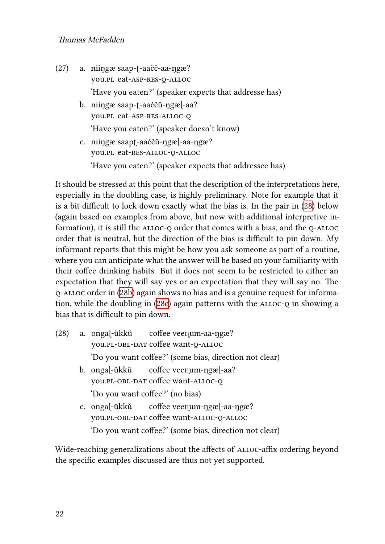- (27) a. niingæ saap-t-aačč-aa-ngæ? you.pl eat-asp-res-q-alloc 'Have you eaten?' (speaker expects that addresse has) b. niiŋgæ saap-t̥-aaččŭ-ŋgæl̥-aa?
	- you.pl eat-asp-res-alloc-q 'Have you eaten?' (speaker doesn't know)
	- c. niingæ saapt-aaččŭ-ngæl-aa-ngæ? you.pl eat-res-alloc-q-alloc 'Have you eaten?' (speaker expects that addressee has)

It should be stressed at this point that the description of the interpretations here, especially in the doubling case, is highly preliminary. Note for example that it is a bit difficult to [lock](#page-21-0) down exactly what the bias is. In the pair in (28) below (again based on examples fr[om](#page-21-1) above, but now with additional interpretive information), it is still the ALLOC-Q order that comes with a bias, and the Q-ALLOC order that is neutral, but the direction of the bias is difficult to pin down. My informant reports that this might be how you ask someone as part of a routine, where you can anticipate what the answer will be based on your familiarity with their coffee drinking habits. But it does not seem to be restricted to either an expectation that they will say yes or an expectation that they will say no. The q-alloc order in (28b) again shows no bias and is a genuine request for information, while the doubling in  $(28c)$  again patterns with the  $ALLOCQ$  in showing a bias that is difficult to pin down.

<span id="page-21-1"></span><span id="page-21-0"></span>(28) a. ongal-ŭkkŭ you.pl-obl-dat coffee want-q-alloc coffee veenum-aa-ŋgæ? 'Do you want coffee?' (some bias, direction not clear) b. ongal-ŭkkŭ coffee veenum-ngæl-aa?

you.pl-obl-dat coffee want-alloc-q 'Do you want coffee?' (no bias)

c. ongal-ŭkkŭ you.pl-obl-dat coffee want-alloc-q-alloc coffee veenum-ŋgæl-aa-ŋgæ? 'Do you want coffee?' (some bias, direction not clear)

Wide-reaching generalizations about the affects of ALLOC-affix ordering beyond the specific examples discussed are thus not yet supported.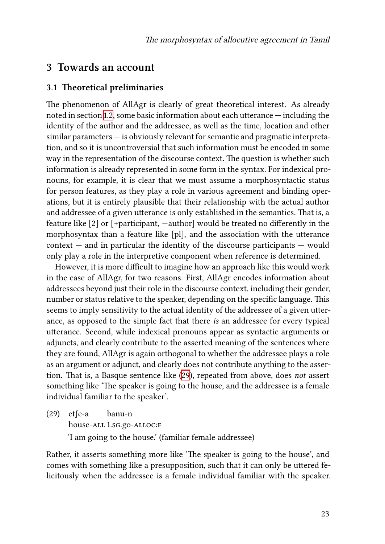### <span id="page-22-1"></span><span id="page-22-0"></span>**3 Towards an account**

#### **3.1 Theoretical preliminaries**

The phenomenon of AllAgr is clearly of great theoretical interest. As already noted in section 1.2, some basic information about each utterance — including the identity of the author and the addressee, as well as the time, location and other similar parameters — is obviously relevant for semantic and pragmatic interpretation, and so it is uncontroversial that such information must be encoded in some way in the representation of the discourse context. The question is whether such information is already represented in some form in the syntax. For indexical pronouns, for example, it is clear that we must assume a morphosyntactic status for person features, as they play a role in various agreement and binding operations, but it is entirely plausible that their relationship with the actual author and addressee of a given utterance is only established in the semantics. That is, a feature like [2] or [+participant, *−*author] would be treated no differently in the morphosyntax than a feature like [pl], and the association with the utterance  $context - and in particular the identity of the discourse participants - would$ only play a role in the interpretive component when reference is determined.

<span id="page-22-2"></span>However, it is more difficult to imagine how an approach like this would work in the case of AllAgr, for two reasons. First, AllAgr encodes information about addressees beyond just their role in th[e di](#page-22-2)scourse context, including their gender, number or status relative to the speaker, depending on the specific language. This seems to imply sensitivity to the actual identity of the addressee of a given utterance, as opposed to the simple fact that there *is* an addressee for every typical utterance. Second, while indexical pronouns appear as syntactic arguments or adjuncts, and clearly contribute to the asserted meaning of the sentences where they are found, AllAgr is again orthogonal to whether the addressee plays a role as an argument or adjunct, and clearly does not contribute anything to the assertion. That is, a Basque sentence like (29), repeated from above, does *not* assert something like 'The speaker is going to the house, and the addressee is a female individual familiar to the speaker'.

 $(29)$  et fe-a house-all 1.sg.go-alloc:f banu-n 'I am going to the house.' (familiar female addressee)

Rather, it asserts something more like 'The speaker is going to the house', and comes with something like a presupposition, such that it can only be uttered felicitously when the addressee is a female individual familiar with the speaker.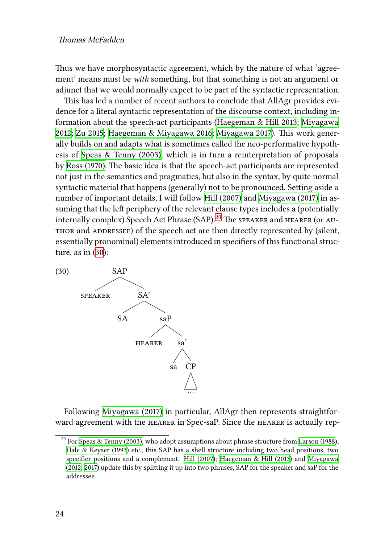Thus w[e have morphosyntacti](#page-33-3)c agreement, which by the nature of what 'agreeme[nt' means m](#page-32-10)ust be *with* something, but that something is not an argument or adjunct that we would normally expect to be part of the syntactic representation.

<span id="page-23-0"></span>This has led a number of recent authors to conclude that AllAgr provides evidence for a literal syntactic representation [of the disc](#page-32-11)ours[e context, includi](#page-32-2)ng information about the speech-act participants (Haegeman & Hill 2013; Miyagawa 2012; Zu 2015; Haegeman & Miyagawa 2016; Miyagawa 2017). This work generally builds on and adapts what is sometimes called the neo-performative hypothesis of Speas & Tenny (2003), which is in turn a reinterpretation of proposals by Ross (19[70\)](#page-23-0). The basic idea is that the speech-act participants are represented not just in the semantics and pragmatics, but also in the syntax, by quite normal syntactic material that happens (generally) not to be pronounced. Setting aside a number of important details, I will follow Hill (2007) and Miyagawa (2017) in assuming that the left periphery of the relevant clause types includes a (potentially internally complex) Speech Act Phrase  $(SAP)$ .<sup>20</sup> The speaker and HEARER (or AU-THOR and ADDRESSEE) of the speech act are then directly represented by (silent, essentially pronominal) elements introduced in specifiers of this functional structure, as in (30):



Following Miyagawa (2017) in particular, AllAgr then represents straightforward agreement with the HEARER in Spec-saP. Since the HEARER is actually rep-

 $20$  For Speas & Tenny (2003), who adopt assumptions about phrase structure from Larson (1988); Hale & Keyser (1993) etc., this SAP has a shell structure including two head positions, two specifier positions and a complement. Hill (2007); Haegeman & Hill (2013) and Miyagawa (2012; 2017) update this by splitting it up into two phrases, SAP for the speaker and saP for the addressee.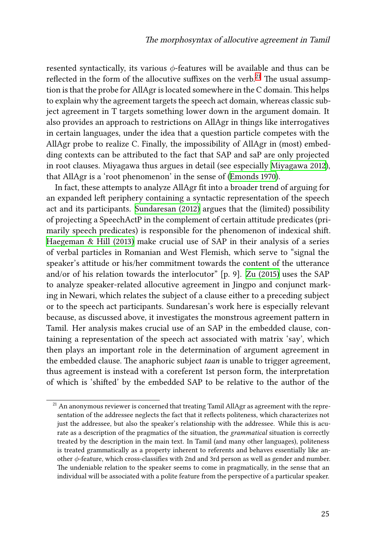resented syntactically, its various *ϕ*-features will be available and thus can be reflected in the form of the allocutive suffixes on the verb.<sup>21</sup> [The usual assump](#page-32-8)tion is that the probe for AllAgr is located somewher[e in the C dom](#page-32-12)ain. This helps to explain why the agreement targets the speech act domain, whereas classic subject agreement in T targets something lower down in the argument domain. It also provides an approac[h to restrictions on](#page-33-0) AllAgr in things like interrogatives in certain languages, under the idea that a question particle competes with the AllAgr probe to realize C. Finally, the impossibility of AllAgr in (most) embed[ding contexts can be attr](#page-32-13)ibuted to the fact that SAP and saP are only projected in root clauses. Miyagawa thus argues in detail (see especially Miyagawa 2012), that AllAgr is a 'root phenomenon' in the sense of (Emonds 1970).

In fact, these attempts to analyze AllAgr fit into a bro[ader trend](#page-33-2) of arguing for an expanded left periphery containing a syntactic representation of the speech act and its participants. Sundaresan (2012) argues that the (limited) possibility of projecting a SpeechActP in the complement of certain attitude predicates (primarily speech predicates) is responsible for the phenomenon of indexical shift. Haegeman & Hill (2013) make crucial use of SAP in their analysis of a series of verbal particles in Romanian and West Flemish, which serve to "signal the speaker's attitude or his/her commitment towards the content of the utterance and/or of his relation towards the interlocutor" [p. 9]. Zu (2015) uses the SAP to analyze speaker-related allocutive agreement in Jingpo and conjunct marking in Newari, which relates the subject of a clause either to a preceding subject or to the speech act participants. Sundaresan's work here is especially relevant because, as discussed above, it investigates the monstrous agreement pattern in Tamil. Her analysis makes crucial use of an SAP in the embedded clause, containing a representation of the speech act associated with matrix 'say', which then plays an important role in the determination of argument agreement in the embedded clause. The anaphoric subject *taan* is unable to trigger agreement, thus agreement is instead with a coreferent 1st person form, the interpretation of which is 'shifted' by the embedded SAP to be relative to the author of the

 $^{21}$  An anonymous reviewer is concerned that treating Tamil AllAgr as agreement with the representation of the addressee neglects the fact that it reflects politeness, which characterizes not just the addressee, but also the speaker's relationship with the addressee. While this is acurate as a description of the pragmatics of the situation, the *grammatical* situation is correctly treated by the description in the main text. In Tamil (and many other languages), politeness is treated grammatically as a property inherent to referents and behaves essentially like another *ϕ*-feature, which cross-classifies with 2nd and 3rd person as well as gender and number. The undeniable relation to the speaker seems to come in pragmatically, in the sense that an individual will be associated with a polite feature from the perspective of a particular speaker.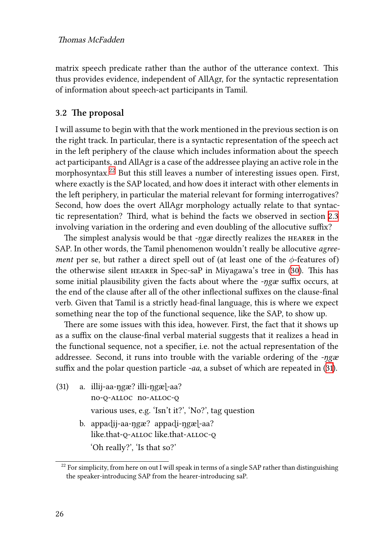matrix speech predicate rather than the author of the utterance context. This thus provides evidence, independent of AllAgr, for the syntactic representation of information about speech-act participants in Tamil.

#### **3.2 The proposal**

I will assume to begin with that the work mentioned in the previous section is [on](#page-17-3) the right track. In particular, there is a syntactic representation of the speech act in the left periphery of the clause which includes information about the speech act participants, and AllAgr is a case of the addressee playing an active role in the morphosyntax.<sup>22</sup> But this still leaves a number of interesting issues open. First, where exactly is the SAP located, and how does it interact with oth[er e](#page-23-0)lements in the left periphery, in particular the material relevant for forming interrogatives? Second, how does the overt AllAgr morphology actually relate to that syntactic representation? Third, what is behind the facts we observed in section 2.3 involving variation in the ordering and even doubling of the allocutive suffix?

The simplest analysis would be that *-ngæ* directly realizes the HEARER in the SAP. In other words, the Tamil phenomenon wouldn't really be allocutive *agreement* per se, but rather a direct spell out of (at least one of the *ϕ*-features of) the otherwise silent hearer in Spec-saP in Miyagawa's tree in (30). This has some initial plausibility given the facts about where the *-ŋgæ* suffix occur[s, a](#page-25-0)t the end of the clause after all of the other inflectional suffixes on the clause-final verb. Given that Tamil is a strictly head-final language, this is where we expect something near the top of the functional sequence, like the SAP, to show up.

<span id="page-25-0"></span>There are some issues with this idea, however. First, the fact that it shows up as a suffix on the clause-final verbal material suggests that it realizes a head in the functional sequence, not a specifier, i.e. not the actual representation of the addressee. Second, it runs into trouble with the variable ordering of the *-ŋgæ* suffix and the polar question particle *-aa*, a subset of which are repeated in (31).

(31) a. illij-aa-ŋgæ? illi-ŋgæí-aa? no-q-alloc no-alloc-q various uses, e.g. 'Isn't it?', 'No?', tag question b. appadij-aa-ŋgæ? appadi-ŋgæl-aa? like.that-q-alloc like.that-alloc-q 'Oh really?', 'Is that so?'

 $^{22}$  For simplicity, from here on out I will speak in terms of a single SAP rather than distinguishing the speaker-introducing SAP from the hearer-introducing saP.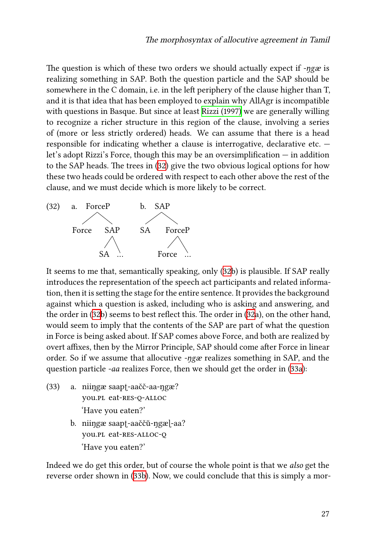<span id="page-26-0"></span>The question is which of these two orders we should actually expect if *-ŋgæ* is realizing something in SAP. B[oth](#page-26-0) the question particle and the SAP should be somewhere in the C domain, i.e. in the left periphery of the clause higher than T, and it is that idea that has been employed to explain why AllAgr is incompatible with questions in Basque. But since at least Rizzi (1997) we are generally willing to recognize a richer structure in this region of the clause, involving a series of (more or less strictly ordered) heads. We can assume that there is a head responsible for indicating whether a clause is interrogative, declarative etc. let's adopt Rizzi's Force, though this may be an oversimplification — in addition to the SAP heads. The trees in (32) give the two obvious logical options for how these two heads could be ordered with respect to each other above the rest of the clause, and we must decide which is more likelyt[o b](#page-26-0)e correct.



<span id="page-26-1"></span>It seems to me that, semantically speaking, only (32b) is plausible. If SAP really introduces the representation of the speech act participants and relat[ed in](#page-26-1)formation, then it is setting the stage for the entire sentence. It provides the background against which a question is asked, including who is asking and answering, and the order in (32b) seems to best reflect this. The order in (32a), on the other hand, would seem to imply that the contents of the SAP are part of what the question in Force is being asked about. If SAP comes above Force, and both are realized by overt affixes, then by the Mirror Principle, SAP should come after Force in linear order. So if we assume that allocutive *-ŋgæ* realizes something in SAP, and the question particle *-aa* realizes Force, then we should get the order in (33a):

<span id="page-26-2"></span>(33) a. niingæ saapt-[aačč-](#page-26-2)aa-ngæ? you.pl eat-res-q-alloc 'Have you eaten?' b. niingæ saapt-aaččŭ-ngæl-aa? you.pl eat-res-alloc-q 'Have you eaten?'

Indeed we do get this order, but of course the whole point is that we *also* get the reverse order shown in (33b). Now, we could conclude that this is simply a mor-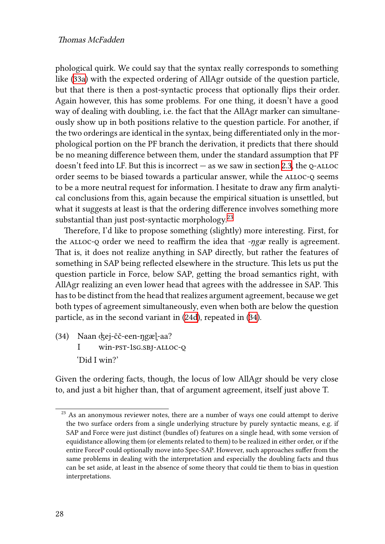phological quirk. We could say that the syntax really corresponds to something like (33a) with the expected ordering of AllAgr outside of the [ques](#page-17-3)tion particle, but that there is then a post-syntactic process that optionally flips their order. Again however, this has some problems. For one thing, it doesn't have a good way of dealing with doubling, i.e. the fact that the AllAgr marker can simultaneously show up in both positions relative to the question particle. For another, if the two orderings are identical in the syntax, being differentiated only in the morphological portion on the PF branch the derivation, it predicts that there should be no meaning difference between them, under the standard assumption that PF doesn't feed into LF. But this is incorrect  $-$  as we saw in section 2.3, the  $Q$ -ALLOC order seems to be biased towards a particular answer, while the ALLOC-O seems to be a more neutral request for information. I hesitate to draw any firm analytical conclusions from this, again because the empirical situation is unsettled, but what it suggests at least is that the ordering difference involves something more substantial than just post-syntactic morphology. $^{23}$ 

<span id="page-27-0"></span>Therefore, I'd like to propose so[methi](#page-19-1)ng (slightly) [mor](#page-27-0)e interesting. First, for the ALLOC-Q order we need to reaffirm the idea that *-ngæ* really is agreement. That is, it does not realize anything in SAP directly, but rather the features of something in SAP being reflected elsewhere in the structure. This lets us put the question particle in Force, below SAP, getting the broad semantics right, with AllAgr realizing an even lower head that agrees with the addressee in SAP. This has to be distinct from the head that realizes argument agreement, because we get both types of agreement simultaneously, even when both are below the question particle, as in the second variant in (24d), repeated in (34).

(34) Naan Ãej-čč-een-ŋgæí-aa? I win-pst-1sg.sbj-alloc-q

'Did I win?'

Given the ordering facts, though, the locus of low AllAgr should be very close to, and just a bit higher than, that of argument agreement, itself just above T.

 $23$  As an anonymous reviewer notes, there are a number of ways one could attempt to derive the two surface orders from a single underlying structure by purely syntactic means, e.g. if SAP and Force were just distinct (bundles of) features on a single head, with some version of equidistance allowing them (or elements related to them) to be realized in either order, or if the entire ForceP could optionally move into Spec-SAP. However, such approaches suffer from the same problems in dealing with the interpretation and especially the doubling facts and thus can be set aside, at least in the absence of some theory that could tie them to bias in question interpretations.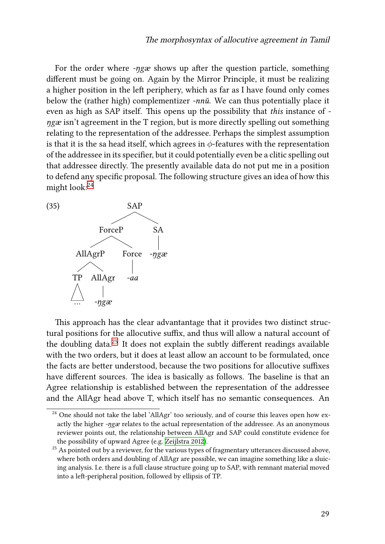For the order where *-ŋgæ* shows up after the question particle, something different must be going on. Again by the Mirror Principle, it must be realizing a higher position in the left periphery, which as far as I have found only comes below the (rather high) complementizer *-nnŭ*. We can thus potentially place it even as high as SAP itself. This opens up the possibility that *this* instance of  *ŋgæ* isn't agreement in the T region, but is more directly spelling out something relating to the representation of the addressee. Perhaps the simplest assumption is that it is the sa head itself, which agrees in  $\phi$ -features with the representation of the addressee in its specifier, but it could potentially even be a clitic spelling out that addressee directly. The presently available data do not put me in a position to defend any specific proposal. The following structure gives an idea of how this might look:<sup>24</sup>



This approach has the clear advantantage that it provides two distinct structural positions for the allocutive suffix, and thus will allow a natural account of the doubling data.<sup>25</sup> It does not explain the subtly different readings available with the two orders, but it does a[t least allow](#page-33-4) an account to be formulated, once the facts are better understood, because the two positions for allocutive suffixes have different sources. The idea is basically as follows. The baseline is that an Agree relationship is established between the representation of the addressee and the AllAgr head above T, which itself has no semantic consequences. An

<sup>&</sup>lt;sup>24</sup> One should not take the label 'AllAgr' too seriously, and of course this leaves open how exactly the higher *-ŋgæ* relates to the actual representation of the addressee. As an anonymous reviewer points out, the relationship between AllAgr and SAP could constitute evidence for the possibility of upward Agree (e.g. Zeijlstra 2012).

<sup>&</sup>lt;sup>25</sup> As pointed out by a reviewer, for the various types of fragmentary utterances discussed above, where both orders and doubling of AllAgr are possible, we can imagine something like a sluicing analysis. I.e. there is a full clause structure going up to SAP, with remnant material moved into a left-peripheral position, followed by ellipsis of TP.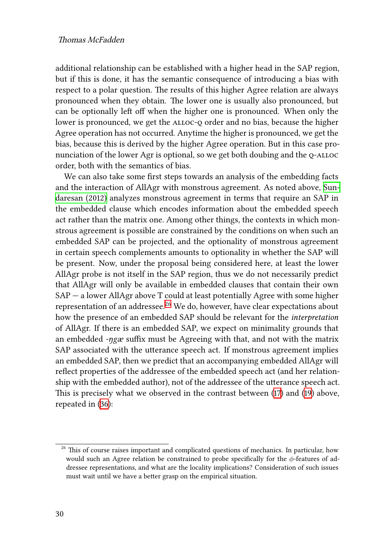additional relationship can be established with a higher head in the SAP region, but if this is done, it has the semantic consequence of introducing a bias with respect to a polar question. The results of this higher Agree relation are always pronounced when they obtain. The lower one is usually also pronounced[, but](#page-33-0) [can be optiona](#page-33-0)lly left off when the higher one is pronounced. When only the lower is pronounced, we get the ALLOC-Q order and no bias, because the higher Agree operation has not occurred. Anytime the higher is pronounced, we get the bias, because this is derived by the higher Agree operation. But in this case pronunciation of the lower Agr is optional, so we get both doubing and the Q-ALLOC order, both with the semantics of bias.

We can also take some first steps towards an analysis of the embedding facts and the interaction of AllAgr with monstrous agreement. As noted above, Sundaresan (2012) analyzes monstrous agreement in terms that require an SAP in the embedded clause which encodes information about the embedded speech act rather than the matrix one. Among other things, the contexts in which monstrous agreement is possible are constrained by the conditions on when such an embedded SAP can be projected, and the optionality of monstrous agreement in certain speech complements amounts to optionality in whether the SAP will be present. Now, under the proposal being considered here, at least the lower AllAgr probe is not itself in the SAP region, thus we do not necessarily predict that AllAgr will only be available in embedded clauses that contain their own SAP — a lower AllAgr above T could at least potentially Agree with some higher representation of an addressee.<sup>26</sup> We do, however, have clear [exp](#page-15-0)ectati[on](#page-16-1)s about how the pre[sen](#page-29-0)ce of an embedded SAP should be relevant for the *interpretation* of AllAgr. If there is an embedded SAP, we expect on minimality grounds that an embedded *-ŋgæ* suffix must be Agreeing with that, and not with the matrix SAP associated with the utterance speech act. If monstrous agreement implies an embedded SAP, then we predict that an accompanying embedded AllAgr will reflect properties of the addressee of the embedded speech act (and her relationship with the embedded author), not of the addressee of the utterance speech act. This is precisely what we observed in the contrast between (17) and (19) above, repeated in (36):

<span id="page-29-0"></span><sup>&</sup>lt;sup>26</sup> This of course raises important and complicated questions of mechanics. In particular, how would such an Agree relation be constrained to probe specifically for the *ϕ*-features of addressee representations, and what are the locality implications? Consideration of such issues must wait until we have a better grasp on the empirical situation.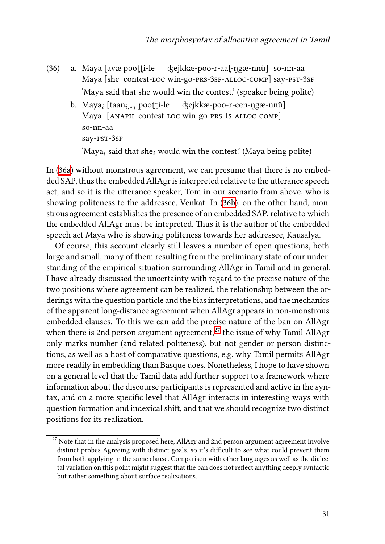- <span id="page-30-0"></span>(36) a. Maya [avæ pootti-le Maya [she contest-loc win-go-prs-3sf-alloc-comp] say-pst-3sf Ãejkkæ-poo-r-aaí-ŋgæ-nnŭ] so-nn-aa 'Maya said that she would win the contest.' (speaker being polite)
	- b. Maya*<sup>i</sup>* [taan*i,∗<sup>j</sup>* pooúúi-le Maya [anaph contest-loc win-go-prs[-1s-a](#page-30-0)lloc-comp] Ãejkkæ-poo-r-een-ŋgæ-nnŭ] so-nn-aa say-pst-3sf

'Maya*<sup>i</sup>* said that she*<sup>i</sup>* would win the contest.' (Maya being polite)

In (36a) without monstrous agreement, we can presume that there is no embedded SAP, thus the embedded AllAgr is interpreted relative to the utterance speech act, and so it is the utterance speaker, Tom in our scenario from above, who is showing politeness to the addressee, Venkat. In (36b), on the other hand, monstrous agreement establishes the presence of an embedded SAP, relative to which the embedded AllAgr must be intepreted. Thus it is the author of the embedded speech act Maya who is showing politeness towards her addressee, Kausalya.

Of course, this account clearly still leaves a number of open questions, both large and small, many of them resulting from the preliminary state of our understanding of the empirical situation surrounding AllAgr in Tamil and in general. I have already discussed the uncertainty with regard to the precise nature of the two positions where agreement can be realized, the relationship between the orderings with the question particle and the bias interpretations, and the mechanics of the apparent long-distance agreement when AllAgr appears in non-monstrous embedded clauses. To this we can add the precise nature of the ban on AllAgr when there is 2nd person argument agreement,<sup>27</sup> the issue of why Tamil AllAgr only marks number (and related politeness), but not gender or person distinctions, as well as a host of comparative questions, e.g. why Tamil permits AllAgr more readily in embedding than Basque does. Nonetheless, I hope to have shown on a general level that the Tamil data add further support to a framework where information about the discourse participants is represented and active in the syntax, and on a more specific level that AllAgr interacts in interesting ways with question formation and indexical shift, and that we should recognize two distinct positions for its realization.

 $^{27}$  Note that in the analysis proposed here, AllAgr and 2nd person argument agreement involve distinct probes Agreeing with distinct goals, so it's difficult to see what could prevent them from both applying in the same clause. Comparison with other languages as well as the dialectal variation on this point might suggest that the ban does not reflect anything deeply syntactic but rather something about surface realizations.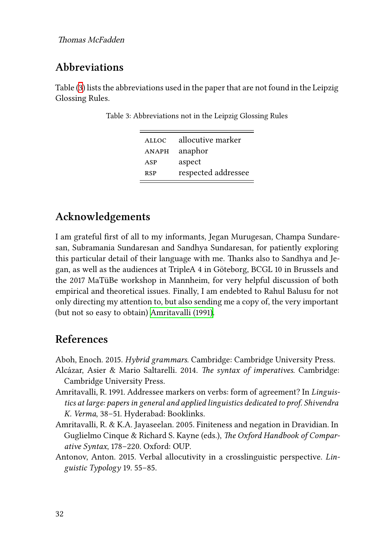## **Abbreviations**

Table (3) lists the abbreviations used in the paper that are not found in the Leipzig Glossing Rules.

| <b>ALLOC</b> | allocutive marker   |
|--------------|---------------------|
| ANAPH        | anaphor             |
| ASP          | aspect              |
| <b>RSP</b>   | respected addressee |

Table 3: Abbreviations not in the Leipzig Glossing Rules

# **Acknowledgement[s](#page-31-2)**

<span id="page-31-4"></span><span id="page-31-0"></span>I am grateful first of all to my informants, Jegan Murugesan, Champa Sundaresan, Subramania Sundaresan and Sandhya Sundaresan, for patiently exploring this particular detail of their language with me. Thanks also to Sandhya and Jegan, as well as the audiences at TripleA 4 in Göteborg, BCGL 10 in Brussels and the 2017 MaTüBe workshop in Mannheim, for very helpful discussion of both empirical and theoretical issues. Finally, I am endebted to Rahul Balusu for not only directing my attention to, but also sending me a copy of, the very important (but not so easy to obtain) Amritavalli (1991).

# <span id="page-31-3"></span><span id="page-31-2"></span>**References**

Aboh, Enoch. 2015. *Hybrid grammars*. Cambridge: Cambridge University Press.

- <span id="page-31-1"></span>Alcázar, Asier & Mario Saltarelli. 2014. *The syntax of imperatives*. Cambridge: Cambridge University Press.
- Amritavalli, R. 1991. Addressee markers on verbs: form of agreement? In *Linguistics at large: papers in general and applied linguistics dedicated to prof. Shivendra K. Verma*, 38–51. Hyderabad: Booklinks.
- Amritavalli, R. & K.A. Jayaseelan. 2005. Finiteness and negation in Dravidian. In Guglielmo Cinque & Richard S. Kayne (eds.), *The Oxford Handbook of Comparative Syntax*, 178–220. Oxford: OUP.
- Antonov, Anton. 2015. Verbal allocutivity in a crosslinguistic perspective. *Linguistic Typology* 19. 55–85.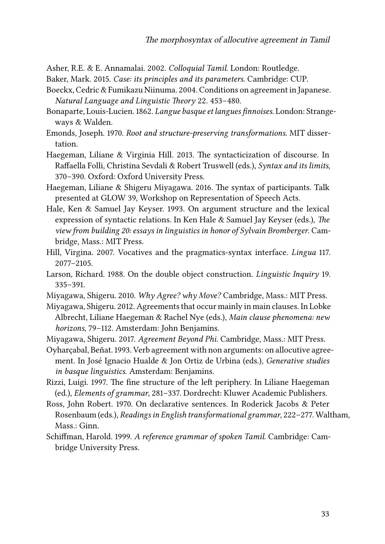<span id="page-32-6"></span>Asher, R.E. & E. Annamalai. 2002. *Colloquial Tamil*. London: Routledge.

- <span id="page-32-7"></span>Baker, Mark. 2015. *Case: its principles and its parameters*. Cambridge: CUP.
- <span id="page-32-3"></span>Boeckx, Cedric & Fumikazu Niinuma. 2004. Conditions on agreement in Japanese. *Natural Language and Linguistic Theory* 22. 453–480.
- <span id="page-32-1"></span>Bonaparte, Louis-Lucien. 1862. *Langue basque et langues finnoises*. London: Strangeways & Walden.
- <span id="page-32-12"></span>Emonds, Joseph. 1970. *Root and structure-preserving transformations*. MIT dissertation.
- <span id="page-32-13"></span>Haegeman, Liliane & Virginia Hill. 2013. The syntacticization of discourse. In Raffaella Folli, Christina Sevdali & Robert Truswell (eds.), *Syntax and its limits*, 370–390. Oxford: Oxford University Press.
- <span id="page-32-9"></span>Haegeman, Liliane & Shigeru Miyagawa. 2016. The syntax of participants. Talk presented at GLOW 39, Workshop on Representation of Speech Acts.
- Hale, Ken & Samuel Jay Keyser. 1993. On argument structure and the lexical expression of syntactic relations. In Ken Hale & Samuel Jay Keyser (eds.), *The view from building 20: essays in linguistics in honor of Sylvain Bromberger*. Cambridge, Mass.: MIT Press.
- <span id="page-32-11"></span>Hill, Virgina. 2007. Vocatives and the pragmatics-syntax interface. *Lingua* 117. 2077–2105.
- Larson, Richard. 1988. On the double object construction. *Linguistic Inquiry* 19. 335–391.
- <span id="page-32-4"></span>Miyagawa, Shigeru. 2010. *Why Agree? why Move?* Cambridge, Mass.: MIT Press.
- <span id="page-32-8"></span>Miyagawa, Shigeru. 2012. Agreements that occur mainly in main clauses. In Lobke Albrecht, Liliane Haegeman & Rachel Nye (eds.), *Main clause phenomena: new horizons*, 79–112. Amsterdam: John Benjamins.
- <span id="page-32-2"></span>Miyagawa, Shigeru. 2017. *Agreement Beyond Phi*. Cambridge, Mass.: MIT Press.
- <span id="page-32-0"></span>Oyharçabal, Beñat. 1993. Verb agreement with non arguments: on allocutive agreement. In José Ignacio Hualde & Jon Ortiz de Urbina (eds.), *Generative studies in basque linguistics*. Amsterdam: Benjamins.
- Rizzi, Luigi. 1997. The fine structure of the left periphery. In Liliane Haegeman (ed.), *Elements of grammar*, 281–337. Dordrecht: Kluwer Academic Publishers.
- <span id="page-32-10"></span>Ross, John Robert. 1970. On declarative sentences. In Roderick Jacobs & Peter Rosenbaum (eds.), *Readings in English transformational grammar*, 222–277. Waltham, Mass.: Ginn.
- <span id="page-32-5"></span>Schiffman, Harold. 1999. *A reference grammar of spoken Tamil*. Cambridge: Cambridge University Press.